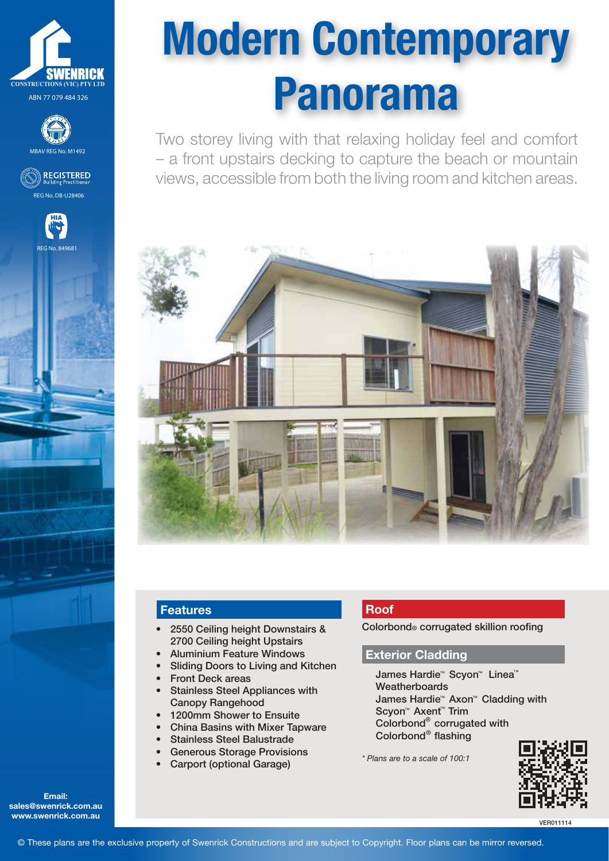







Modern Contemporary Panorama

Two storey living with that relaxing holiday feel and comfort – a front upstairs decking to capture the beach or mountain views, accessible from both the living room and kitchen areas.



## **Features**

- 2550 Ceiling height Downstairs & 2700 Ceiling height Upstairs
- Aluminium Feature Windows
- Sliding Doors to Living and Kitchen
- Front Deck areas
- Stainless Steel Appliances with Canopy Rangehood
- 1200mm Shower to Ensuite
- China Basins with Mixer Tapware
- Stainless Steel Balustrade
- Generous Storage Provisions
- Carport (optional Garage)

# **Roof**

Colorbond® corrugated skillion roofing

### **Exterior Cladding**

James Hardie™ Scyon™ Linea™ **Weatherboards** James Hardie™ Axon™ Cladding with Scyon<sup>™</sup> Axent<sup>™</sup> Trim Colorbond corrugated with Colorbond $^{\circ}$  flashing ® ®

*\* Plans are to a scale of 100:1*



VER011114